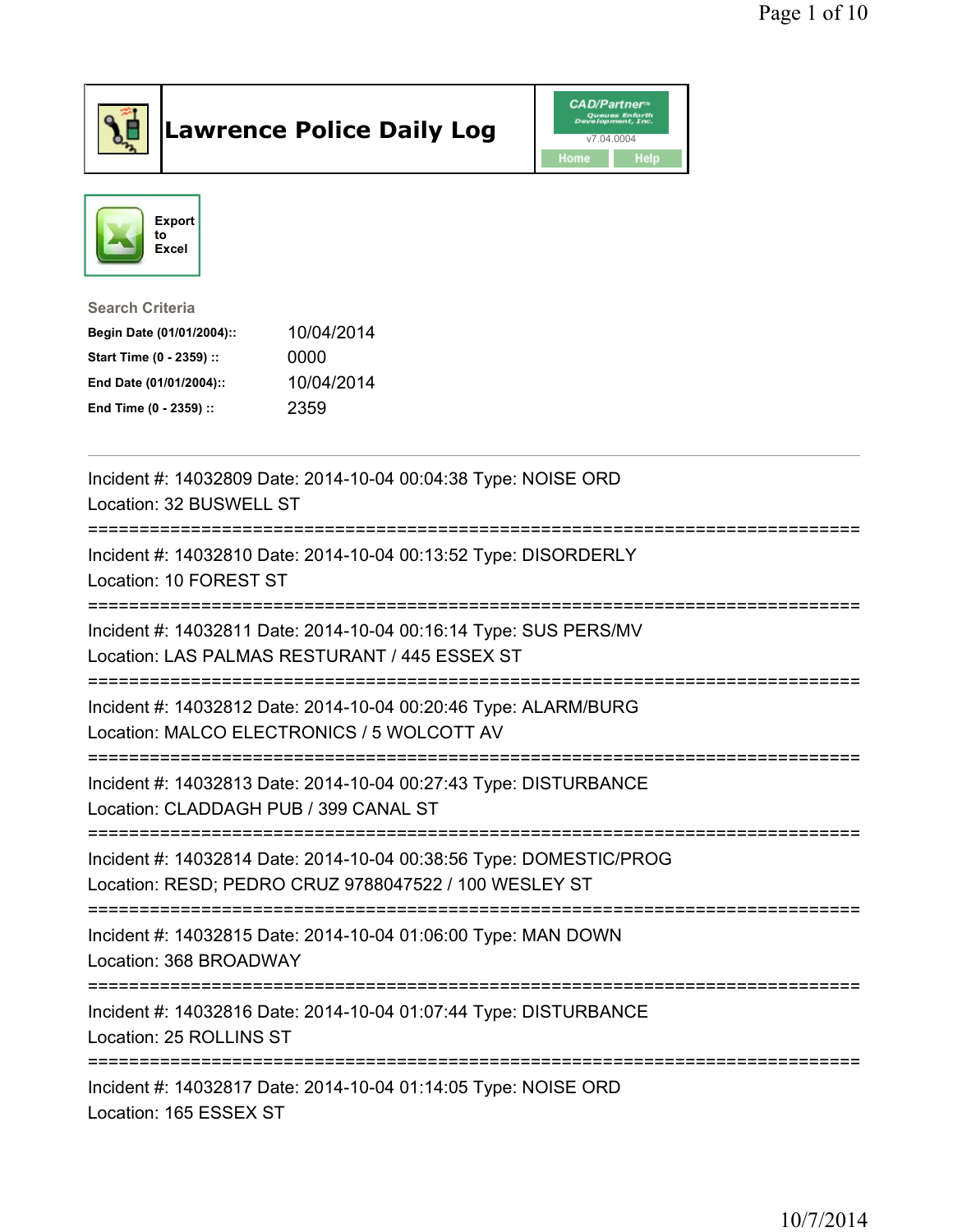

## Lawrence Police Daily Log **Daniel CAD/Partner**





Search Criteria Begin Date (01/01/2004):: 10/04/2014 Start Time (0 - 2359) :: 0000 End Date (01/01/2004):: 10/04/2014 End Time (0 - 2359) :: 2359

| Incident #: 14032809 Date: 2014-10-04 00:04:38 Type: NOISE ORD<br>Location: 32 BUSWELL ST                                                                 |
|-----------------------------------------------------------------------------------------------------------------------------------------------------------|
| Incident #: 14032810 Date: 2014-10-04 00:13:52 Type: DISORDERLY<br>Location: 10 FOREST ST                                                                 |
| Incident #: 14032811 Date: 2014-10-04 00:16:14 Type: SUS PERS/MV<br>Location: LAS PALMAS RESTURANT / 445 ESSEX ST                                         |
| Incident #: 14032812 Date: 2014-10-04 00:20:46 Type: ALARM/BURG<br>Location: MALCO ELECTRONICS / 5 WOLCOTT AV                                             |
| Incident #: 14032813 Date: 2014-10-04 00:27:43 Type: DISTURBANCE<br>Location: CLADDAGH PUB / 399 CANAL ST<br>--------------------                         |
| Incident #: 14032814 Date: 2014-10-04 00:38:56 Type: DOMESTIC/PROG<br>Location: RESD; PEDRO CRUZ 9788047522 / 100 WESLEY ST<br>-------------------------- |
| Incident #: 14032815 Date: 2014-10-04 01:06:00 Type: MAN DOWN<br>Location: 368 BROADWAY                                                                   |
| Incident #: 14032816 Date: 2014-10-04 01:07:44 Type: DISTURBANCE<br>Location: 25 ROLLINS ST                                                               |
| Incident #: 14032817 Date: 2014-10-04 01:14:05 Type: NOISE ORD<br>Location: 165 ESSEX ST                                                                  |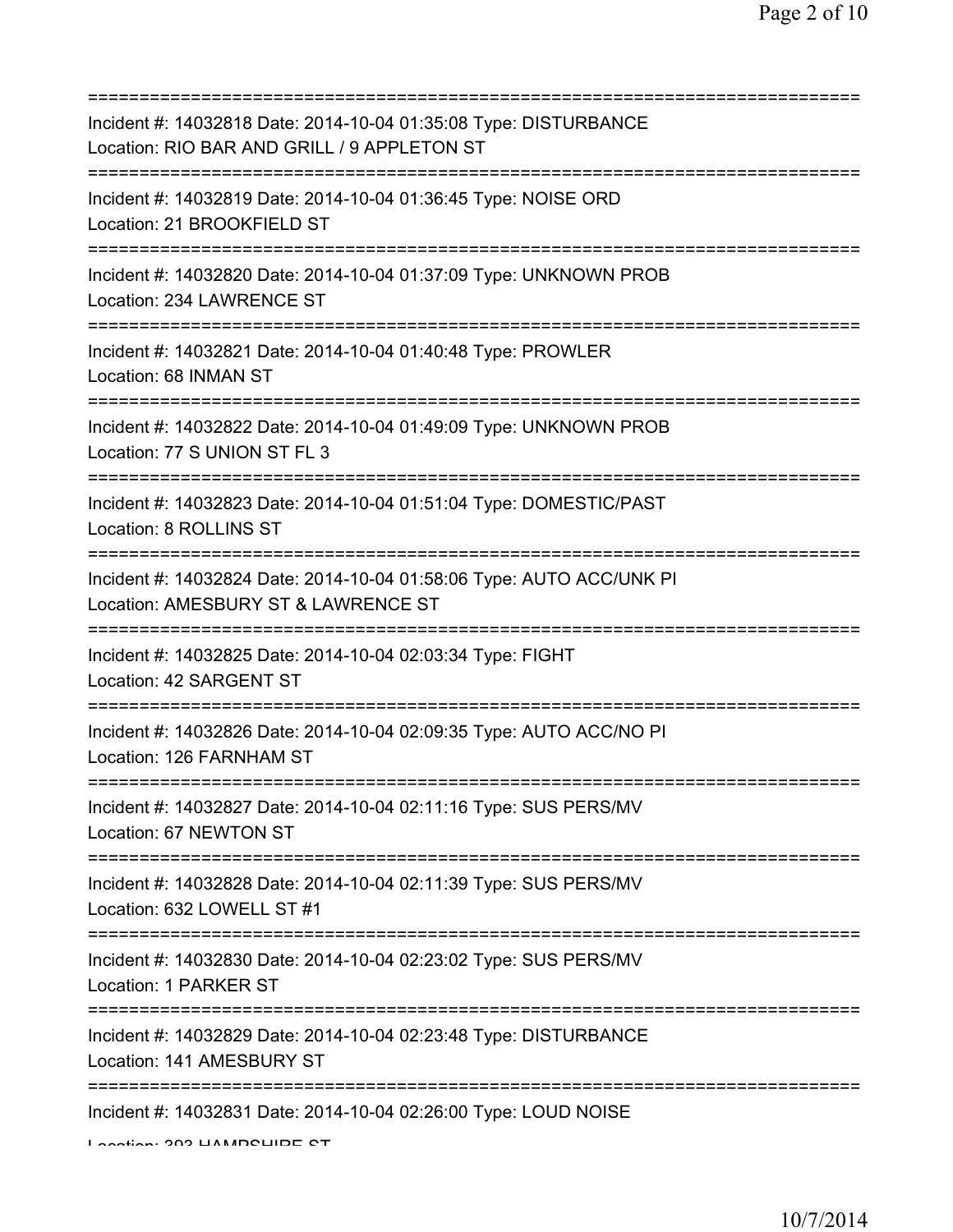| Incident #: 14032818 Date: 2014-10-04 01:35:08 Type: DISTURBANCE<br>Location: RIO BAR AND GRILL / 9 APPLETON ST |
|-----------------------------------------------------------------------------------------------------------------|
| Incident #: 14032819 Date: 2014-10-04 01:36:45 Type: NOISE ORD<br>Location: 21 BROOKFIELD ST                    |
| Incident #: 14032820 Date: 2014-10-04 01:37:09 Type: UNKNOWN PROB<br>Location: 234 LAWRENCE ST                  |
| Incident #: 14032821 Date: 2014-10-04 01:40:48 Type: PROWLER<br>Location: 68 INMAN ST                           |
| Incident #: 14032822 Date: 2014-10-04 01:49:09 Type: UNKNOWN PROB<br>Location: 77 S UNION ST FL 3               |
| Incident #: 14032823 Date: 2014-10-04 01:51:04 Type: DOMESTIC/PAST<br>Location: 8 ROLLINS ST                    |
| Incident #: 14032824 Date: 2014-10-04 01:58:06 Type: AUTO ACC/UNK PI<br>Location: AMESBURY ST & LAWRENCE ST     |
| Incident #: 14032825 Date: 2014-10-04 02:03:34 Type: FIGHT<br>Location: 42 SARGENT ST                           |
| Incident #: 14032826 Date: 2014-10-04 02:09:35 Type: AUTO ACC/NO PI<br>Location: 126 FARNHAM ST                 |
| Incident #: 14032827 Date: 2014-10-04 02:11:16 Type: SUS PERS/MV<br>Location: 67 NEWTON ST                      |
| Incident #: 14032828 Date: 2014-10-04 02:11:39 Type: SUS PERS/MV<br>Location: 632 LOWELL ST #1                  |
| Incident #: 14032830 Date: 2014-10-04 02:23:02 Type: SUS PERS/MV<br>Location: 1 PARKER ST                       |
| Incident #: 14032829 Date: 2014-10-04 02:23:48 Type: DISTURBANCE<br>Location: 141 AMESBURY ST                   |
| Incident #: 14032831 Date: 2014-10-04 02:26:00 Type: LOUD NOISE<br>Lootion: 202 LIAMDOLIDE OT                   |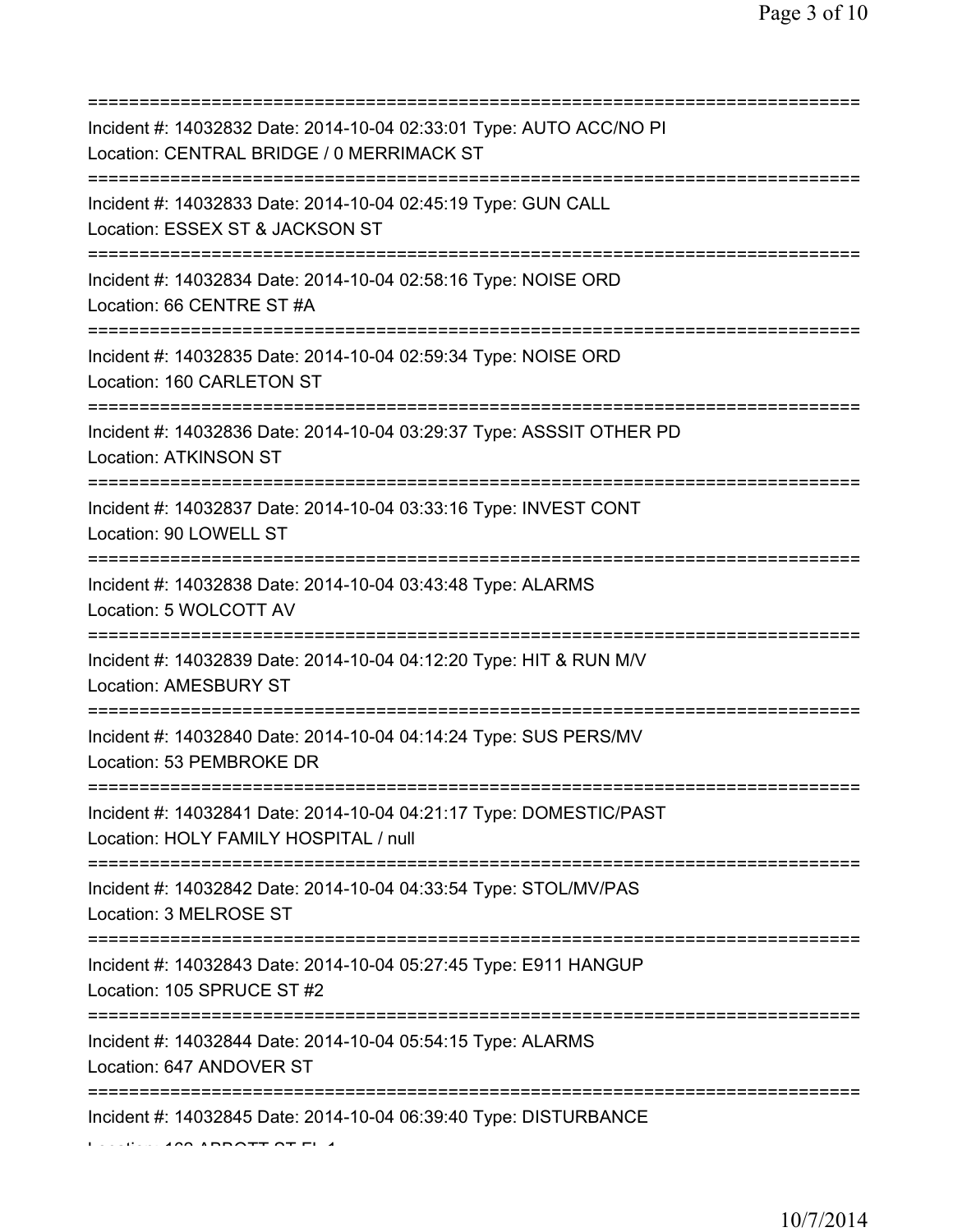| Incident #: 14032832 Date: 2014-10-04 02:33:01 Type: AUTO ACC/NO PI<br>Location: CENTRAL BRIDGE / 0 MERRIMACK ST             |
|------------------------------------------------------------------------------------------------------------------------------|
| Incident #: 14032833 Date: 2014-10-04 02:45:19 Type: GUN CALL<br>Location: ESSEX ST & JACKSON ST                             |
| Incident #: 14032834 Date: 2014-10-04 02:58:16 Type: NOISE ORD<br>Location: 66 CENTRE ST #A                                  |
| Incident #: 14032835 Date: 2014-10-04 02:59:34 Type: NOISE ORD<br>Location: 160 CARLETON ST                                  |
| Incident #: 14032836 Date: 2014-10-04 03:29:37 Type: ASSSIT OTHER PD<br><b>Location: ATKINSON ST</b>                         |
| Incident #: 14032837 Date: 2014-10-04 03:33:16 Type: INVEST CONT<br>Location: 90 LOWELL ST<br>===========================    |
| Incident #: 14032838 Date: 2014-10-04 03:43:48 Type: ALARMS<br>Location: 5 WOLCOTT AV<br>=================================== |
| Incident #: 14032839 Date: 2014-10-04 04:12:20 Type: HIT & RUN M/V<br>Location: AMESBURY ST<br>:==========================   |
| Incident #: 14032840 Date: 2014-10-04 04:14:24 Type: SUS PERS/MV<br>Location: 53 PEMBROKE DR                                 |
| Incident #: 14032841 Date: 2014-10-04 04:21:17 Type: DOMESTIC/PAST<br>Location: HOLY FAMILY HOSPITAL / null                  |
| Incident #: 14032842 Date: 2014-10-04 04:33:54 Type: STOL/MV/PAS<br>Location: 3 MELROSE ST                                   |
| Incident #: 14032843 Date: 2014-10-04 05:27:45 Type: E911 HANGUP<br>Location: 105 SPRUCE ST #2                               |
| Incident #: 14032844 Date: 2014-10-04 05:54:15 Type: ALARMS<br>Location: 647 ANDOVER ST                                      |
| Incident #: 14032845 Date: 2014-10-04 06:39:40 Type: DISTURBANCE                                                             |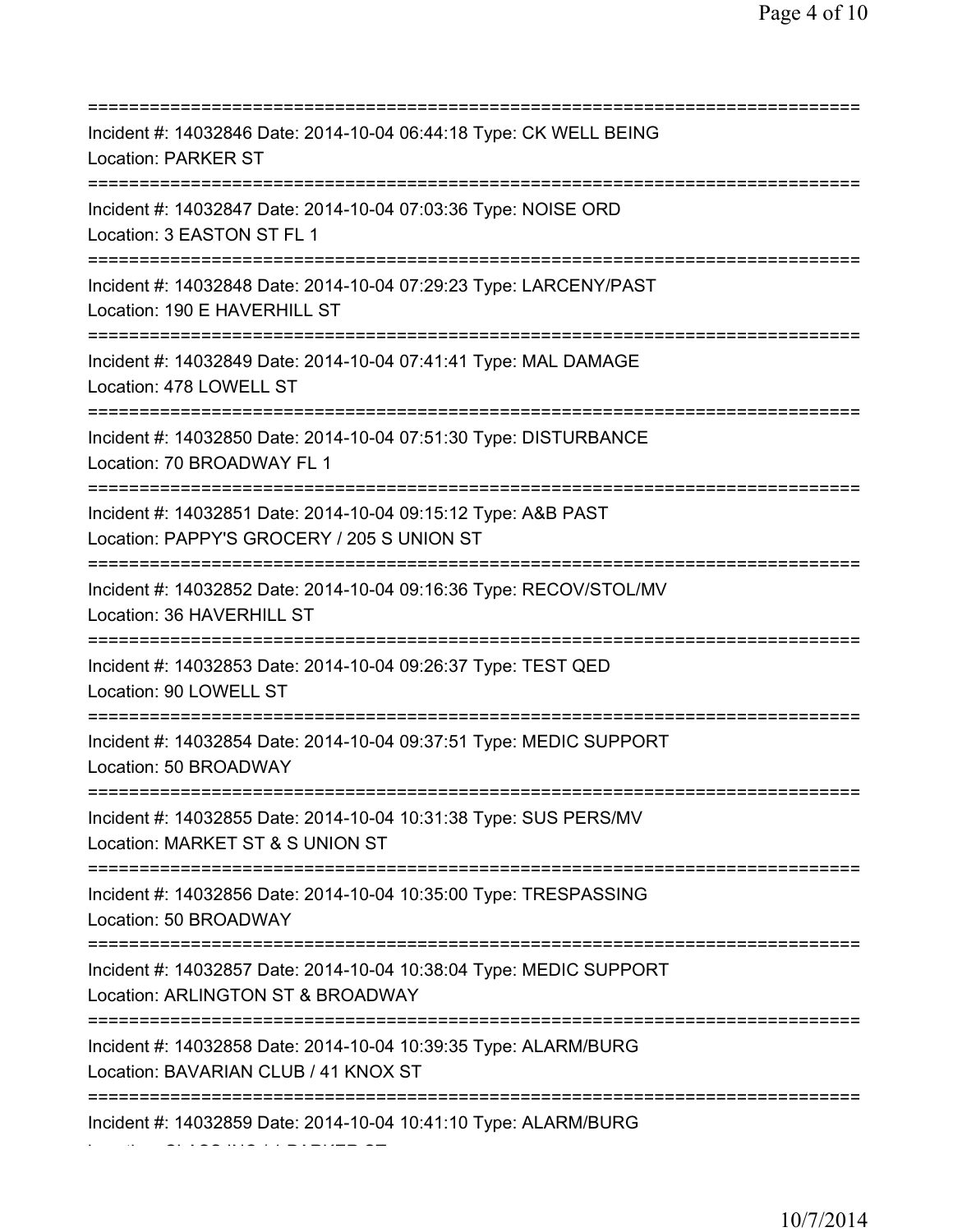=========================================================================== Incident #: 14032846 Date: 2014-10-04 06:44:18 Type: CK WELL BEING Location: PARKER ST =========================================================================== Incident #: 14032847 Date: 2014-10-04 07:03:36 Type: NOISE ORD Location: 3 EASTON ST FL 1 =========================================================================== Incident #: 14032848 Date: 2014-10-04 07:29:23 Type: LARCENY/PAST Location: 190 E HAVERHILL ST =========================================================================== Incident #: 14032849 Date: 2014-10-04 07:41:41 Type: MAL DAMAGE Location: 478 LOWELL ST =========================================================================== Incident #: 14032850 Date: 2014-10-04 07:51:30 Type: DISTURBANCE Location: 70 BROADWAY FL 1 =========================================================================== Incident #: 14032851 Date: 2014-10-04 09:15:12 Type: A&B PAST Location: PAPPY'S GROCERY / 205 S UNION ST =========================================================================== Incident #: 14032852 Date: 2014-10-04 09:16:36 Type: RECOV/STOL/MV Location: 36 HAVERHILL ST =========================================================================== Incident #: 14032853 Date: 2014-10-04 09:26:37 Type: TEST QED Location: 90 LOWELL ST =========================================================================== Incident #: 14032854 Date: 2014-10-04 09:37:51 Type: MEDIC SUPPORT Location: 50 BROADWAY =========================================================================== Incident #: 14032855 Date: 2014-10-04 10:31:38 Type: SUS PERS/MV Location: MARKET ST & S UNION ST =========================================================================== Incident #: 14032856 Date: 2014-10-04 10:35:00 Type: TRESPASSING Location: 50 BROADWAY =========================================================================== Incident #: 14032857 Date: 2014-10-04 10:38:04 Type: MEDIC SUPPORT Location: ARLINGTON ST & BROADWAY =========================================================================== Incident #: 14032858 Date: 2014-10-04 10:39:35 Type: ALARM/BURG Location: BAVARIAN CLUB / 41 KNOX ST =========================================================================== Incident #: 14032859 Date: 2014-10-04 10:41:10 Type: ALARM/BURG

Location: CLASS INC / 1 PARKER ST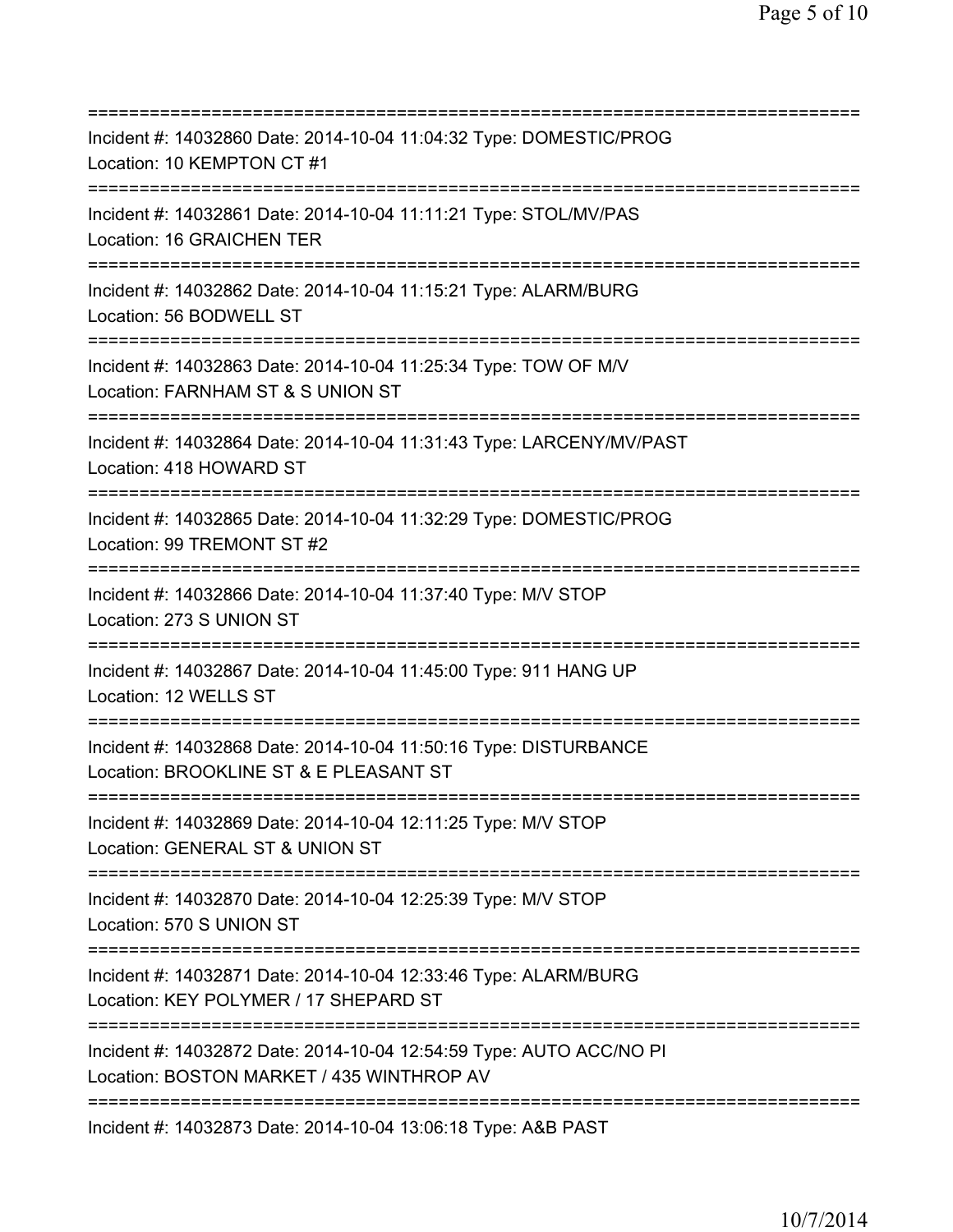| Incident #: 14032860 Date: 2014-10-04 11:04:32 Type: DOMESTIC/PROG<br>Location: 10 KEMPTON CT #1                                         |
|------------------------------------------------------------------------------------------------------------------------------------------|
| =====================<br>Incident #: 14032861 Date: 2014-10-04 11:11:21 Type: STOL/MV/PAS<br>Location: 16 GRAICHEN TER                   |
| Incident #: 14032862 Date: 2014-10-04 11:15:21 Type: ALARM/BURG<br>Location: 56 BODWELL ST                                               |
| Incident #: 14032863 Date: 2014-10-04 11:25:34 Type: TOW OF M/V<br>Location: FARNHAM ST & S UNION ST<br>======================           |
| Incident #: 14032864 Date: 2014-10-04 11:31:43 Type: LARCENY/MV/PAST<br>Location: 418 HOWARD ST                                          |
| Incident #: 14032865 Date: 2014-10-04 11:32:29 Type: DOMESTIC/PROG<br>Location: 99 TREMONT ST #2<br>==================================== |
| Incident #: 14032866 Date: 2014-10-04 11:37:40 Type: M/V STOP<br>Location: 273 S UNION ST                                                |
| Incident #: 14032867 Date: 2014-10-04 11:45:00 Type: 911 HANG UP<br>Location: 12 WELLS ST                                                |
| =====================<br>Incident #: 14032868 Date: 2014-10-04 11:50:16 Type: DISTURBANCE<br>Location: BROOKLINE ST & E PLEASANT ST      |
| Incident #: 14032869 Date: 2014-10-04 12:11:25 Type: M/V STOP<br>Location: GENERAL ST & UNION ST                                         |
| Incident #: 14032870 Date: 2014-10-04 12:25:39 Type: M/V STOP<br>Location: 570 S UNION ST                                                |
| Incident #: 14032871 Date: 2014-10-04 12:33:46 Type: ALARM/BURG<br>Location: KEY POLYMER / 17 SHEPARD ST                                 |
| Incident #: 14032872 Date: 2014-10-04 12:54:59 Type: AUTO ACC/NO PI<br>Location: BOSTON MARKET / 435 WINTHROP AV                         |
| Incident #: 14032873 Date: 2014-10-04 13:06:18 Type: A&B PAST                                                                            |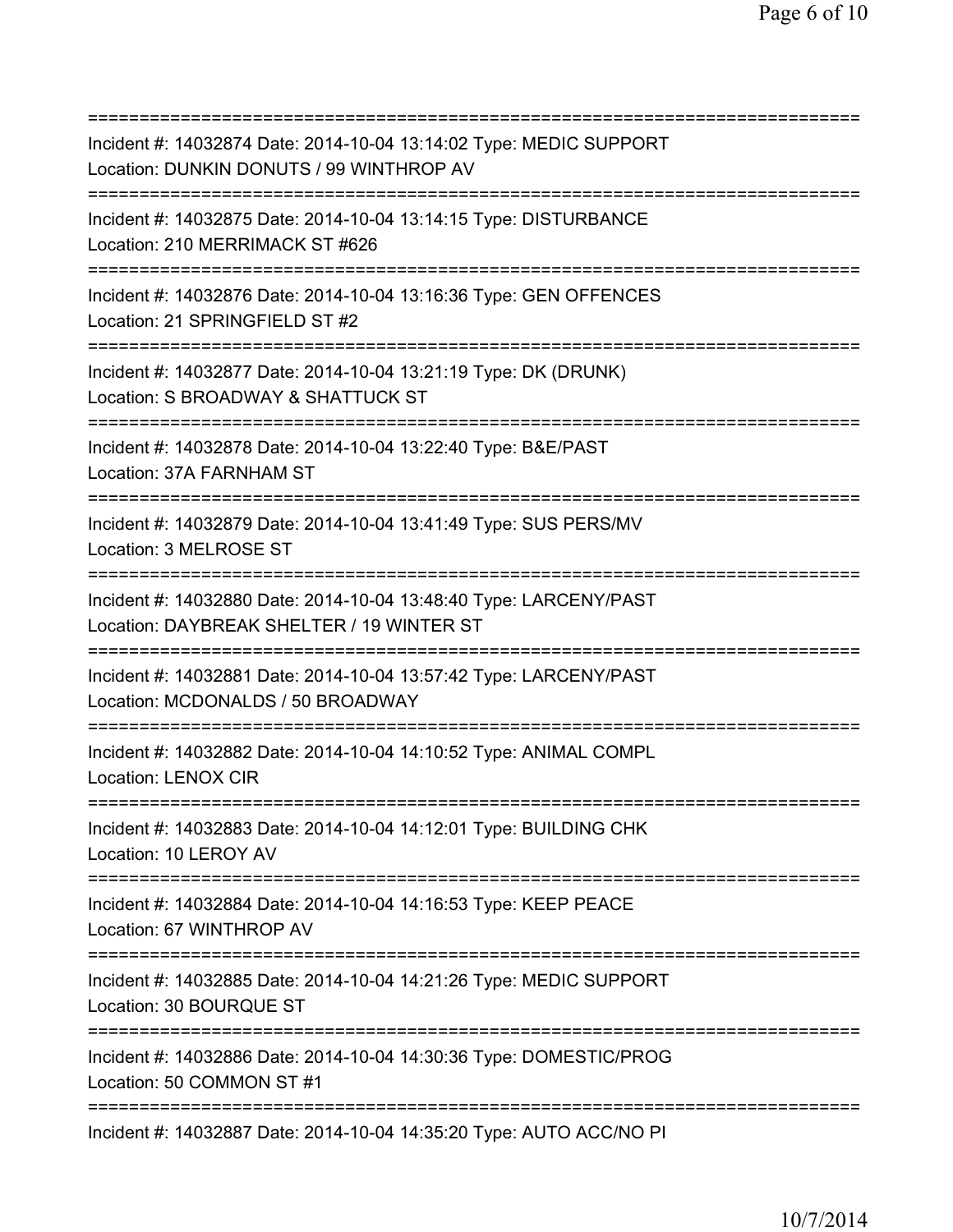=========================================================================== Incident #: 14032874 Date: 2014-10-04 13:14:02 Type: MEDIC SUPPORT Location: DUNKIN DONUTS / 99 WINTHROP AV =========================================================================== Incident #: 14032875 Date: 2014-10-04 13:14:15 Type: DISTURBANCE Location: 210 MERRIMACK ST #626 =========================================================================== Incident #: 14032876 Date: 2014-10-04 13:16:36 Type: GEN OFFENCES Location: 21 SPRINGFIFLD ST #2 =========================================================================== Incident #: 14032877 Date: 2014-10-04 13:21:19 Type: DK (DRUNK) Location: S BROADWAY & SHATTUCK ST =========================================================================== Incident #: 14032878 Date: 2014-10-04 13:22:40 Type: B&E/PAST Location: 37A FARNHAM ST =========================================================================== Incident #: 14032879 Date: 2014-10-04 13:41:49 Type: SUS PERS/MV Location: 3 MELROSE ST =========================================================================== Incident #: 14032880 Date: 2014-10-04 13:48:40 Type: LARCENY/PAST Location: DAYBREAK SHELTER / 19 WINTER ST =========================================================================== Incident #: 14032881 Date: 2014-10-04 13:57:42 Type: LARCENY/PAST Location: MCDONALDS / 50 BROADWAY =========================================================================== Incident #: 14032882 Date: 2014-10-04 14:10:52 Type: ANIMAL COMPL Location: LENOX CIR =========================================================================== Incident #: 14032883 Date: 2014-10-04 14:12:01 Type: BUILDING CHK Location: 10 LEROY AV =========================================================================== Incident #: 14032884 Date: 2014-10-04 14:16:53 Type: KEEP PEACE Location: 67 WINTHROP AV =========================================================================== Incident #: 14032885 Date: 2014-10-04 14:21:26 Type: MEDIC SUPPORT Location: 30 BOURQUE ST =========================================================================== Incident #: 14032886 Date: 2014-10-04 14:30:36 Type: DOMESTIC/PROG Location: 50 COMMON ST #1 =========================================================================== Incident #: 14032887 Date: 2014-10-04 14:35:20 Type: AUTO ACC/NO PI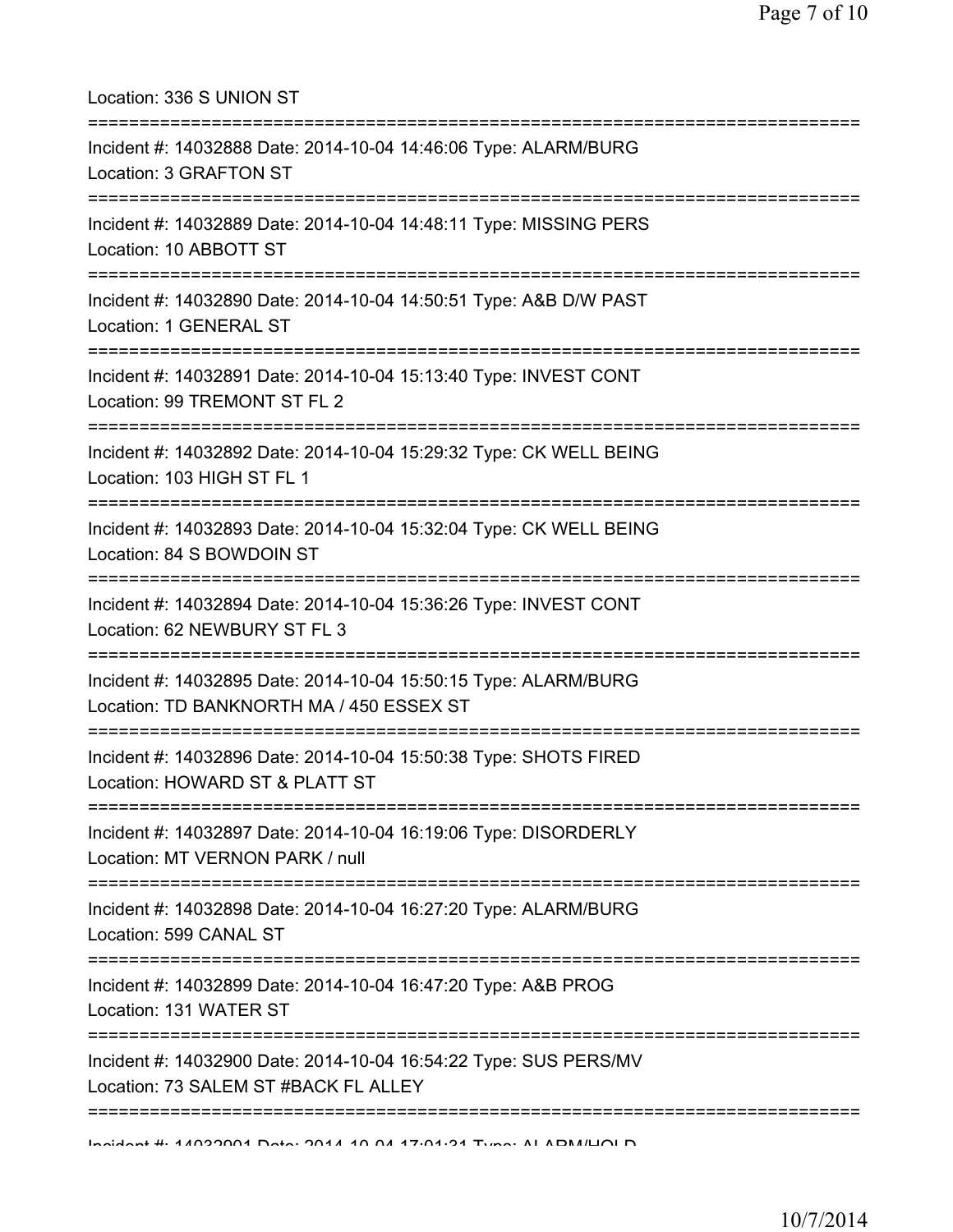| Location: 336 S UNION ST                                                                                                            |
|-------------------------------------------------------------------------------------------------------------------------------------|
| Incident #: 14032888 Date: 2014-10-04 14:46:06 Type: ALARM/BURG<br>Location: 3 GRAFTON ST                                           |
| Incident #: 14032889 Date: 2014-10-04 14:48:11 Type: MISSING PERS<br>Location: 10 ABBOTT ST                                         |
| Incident #: 14032890 Date: 2014-10-04 14:50:51 Type: A&B D/W PAST<br>Location: 1 GENERAL ST<br>===================================  |
| Incident #: 14032891 Date: 2014-10-04 15:13:40 Type: INVEST CONT<br>Location: 99 TREMONT ST FL 2                                    |
| Incident #: 14032892 Date: 2014-10-04 15:29:32 Type: CK WELL BEING<br>Location: 103 HIGH ST FL 1<br>--------------------            |
| Incident #: 14032893 Date: 2014-10-04 15:32:04 Type: CK WELL BEING<br>Location: 84 S BOWDOIN ST                                     |
| ===============================<br>Incident #: 14032894 Date: 2014-10-04 15:36:26 Type: INVEST CONT<br>Location: 62 NEWBURY ST FL 3 |
| Incident #: 14032895 Date: 2014-10-04 15:50:15 Type: ALARM/BURG<br>Location: TD BANKNORTH MA / 450 ESSEX ST                         |
| Incident #: 14032896 Date: 2014-10-04 15:50:38 Type: SHOTS FIRED<br>Location: HOWARD ST & PLATT ST                                  |
| Incident #: 14032897 Date: 2014-10-04 16:19:06 Type: DISORDERLY<br>Location: MT VERNON PARK / null                                  |
| Incident #: 14032898 Date: 2014-10-04 16:27:20 Type: ALARM/BURG<br>Location: 599 CANAL ST                                           |
| --------------------------------<br>Incident #: 14032899 Date: 2014-10-04 16:47:20 Type: A&B PROG<br>Location: 131 WATER ST         |
| Incident #: 14032900 Date: 2014-10-04 16:54:22 Type: SUS PERS/MV<br>Location: 73 SALEM ST #BACK FL ALLEY                            |
| Individual 4. 4 ADDODD4 Data: 004 A AD OA 47.04.04 Tuno: AL ADM/LIOLD                                                               |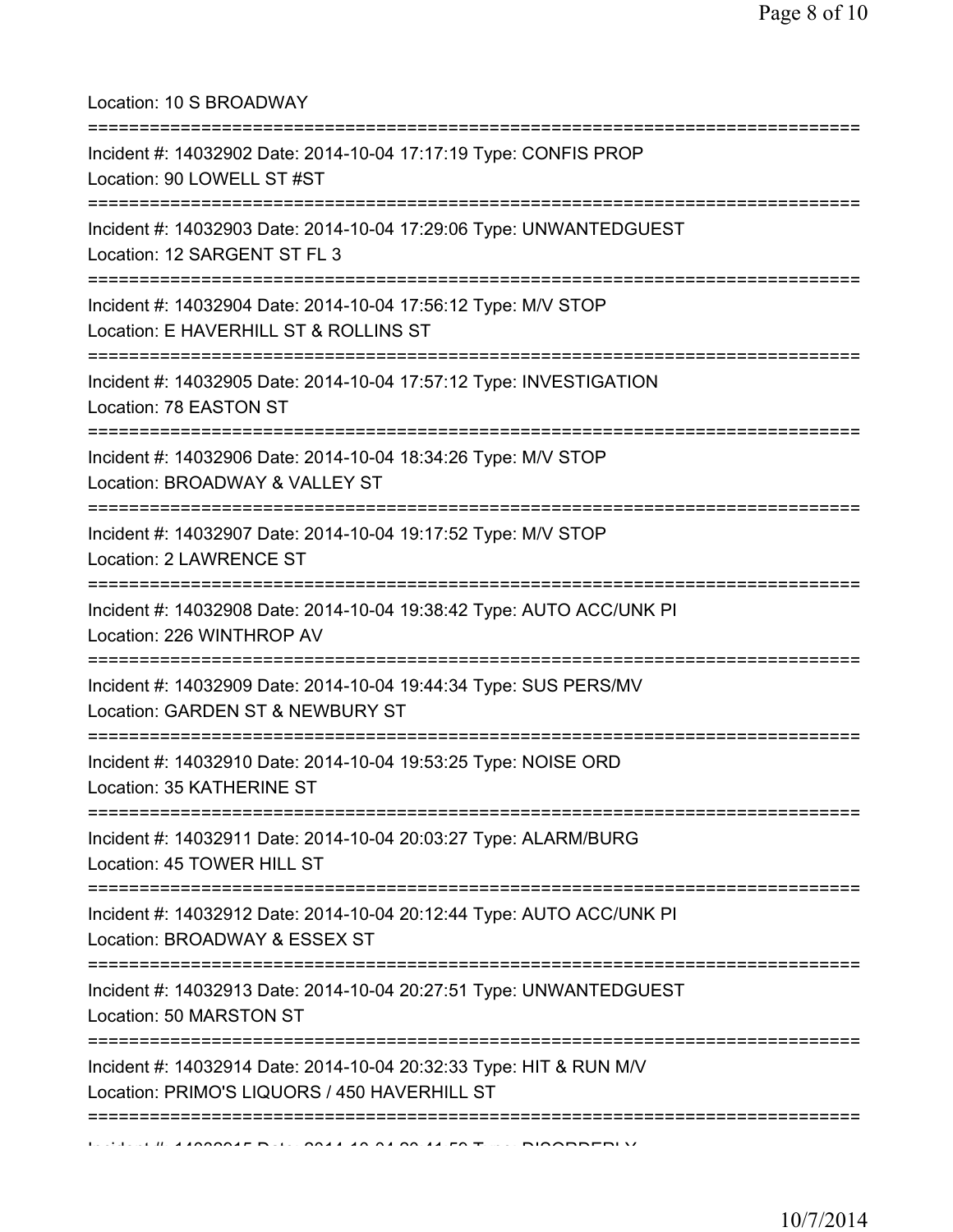Location: 10 S BROADWAY

| Incident #: 14032902 Date: 2014-10-04 17:17:19 Type: CONFIS PROP<br>Location: 90 LOWELL ST #ST                              |
|-----------------------------------------------------------------------------------------------------------------------------|
| ---------------------<br>Incident #: 14032903 Date: 2014-10-04 17:29:06 Type: UNWANTEDGUEST<br>Location: 12 SARGENT ST FL 3 |
| Incident #: 14032904 Date: 2014-10-04 17:56:12 Type: M/V STOP<br>Location: E HAVERHILL ST & ROLLINS ST                      |
| Incident #: 14032905 Date: 2014-10-04 17:57:12 Type: INVESTIGATION<br>Location: 78 EASTON ST<br>;=====================      |
| Incident #: 14032906 Date: 2014-10-04 18:34:26 Type: M/V STOP<br>Location: BROADWAY & VALLEY ST                             |
| Incident #: 14032907 Date: 2014-10-04 19:17:52 Type: M/V STOP<br>Location: 2 LAWRENCE ST                                    |
| Incident #: 14032908 Date: 2014-10-04 19:38:42 Type: AUTO ACC/UNK PI<br>Location: 226 WINTHROP AV                           |
| Incident #: 14032909 Date: 2014-10-04 19:44:34 Type: SUS PERS/MV<br>Location: GARDEN ST & NEWBURY ST                        |
| Incident #: 14032910 Date: 2014-10-04 19:53:25 Type: NOISE ORD<br>Location: 35 KATHERINE ST                                 |
| Incident #: 14032911 Date: 2014-10-04 20:03:27 Type: ALARM/BURG<br>Location: 45 TOWER HILL ST<br>=======================    |
| Incident #: 14032912 Date: 2014-10-04 20:12:44 Type: AUTO ACC/UNK PI<br>Location: BROADWAY & ESSEX ST                       |
| Incident #: 14032913 Date: 2014-10-04 20:27:51 Type: UNWANTEDGUEST<br>Location: 50 MARSTON ST                               |
| Incident #: 14032914 Date: 2014-10-04 20:32:33 Type: HIT & RUN M/V<br>Location: PRIMO'S LIQUORS / 450 HAVERHILL ST          |
| ==========                                                                                                                  |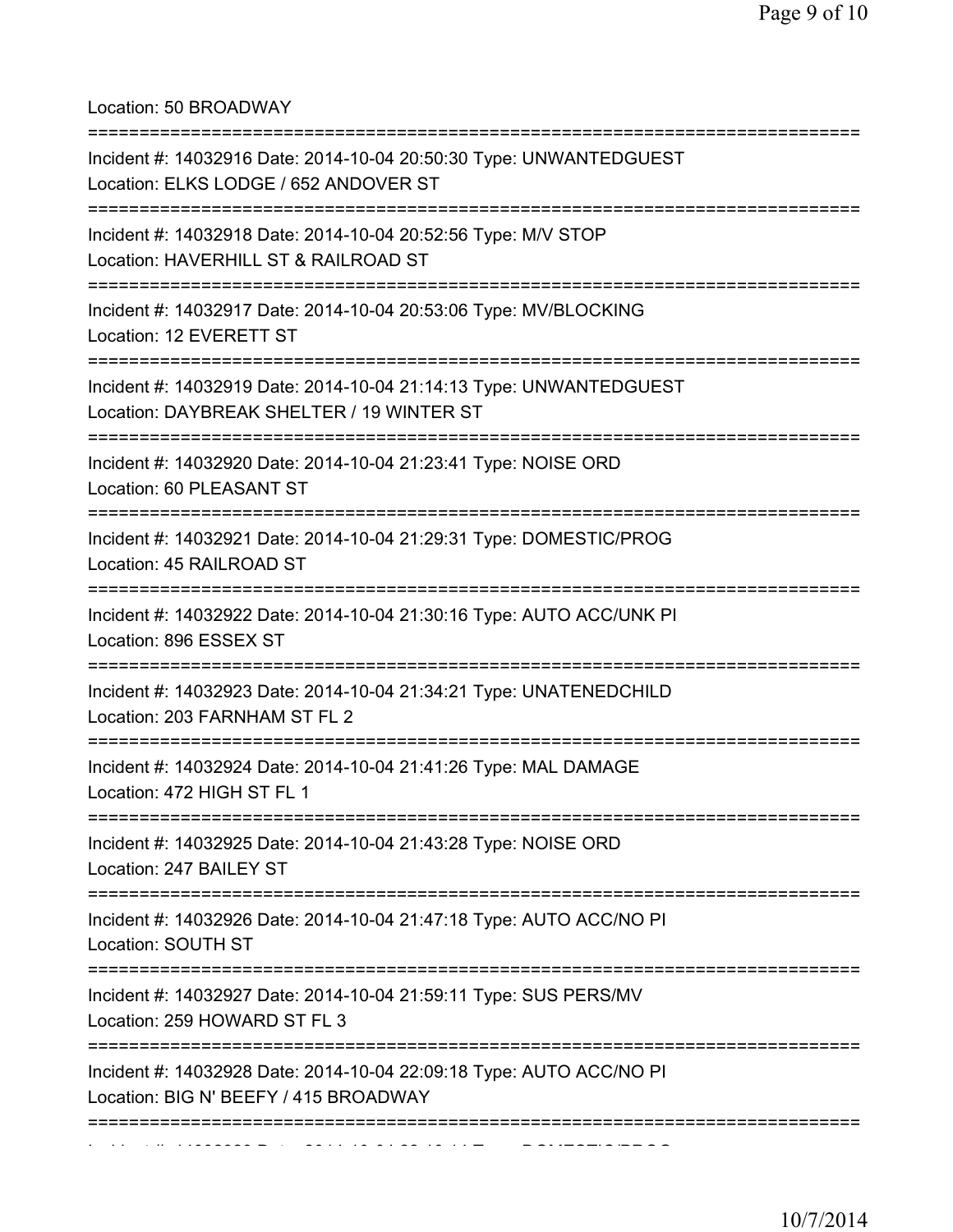Location: 50 BROADWAY

| =========================                                                                                                                     |
|-----------------------------------------------------------------------------------------------------------------------------------------------|
| Incident #: 14032916 Date: 2014-10-04 20:50:30 Type: UNWANTEDGUEST<br>Location: ELKS LODGE / 652 ANDOVER ST<br>:============================= |
| Incident #: 14032918 Date: 2014-10-04 20:52:56 Type: M/V STOP<br>Location: HAVERHILL ST & RAILROAD ST<br>----------------------               |
| Incident #: 14032917 Date: 2014-10-04 20:53:06 Type: MV/BLOCKING<br>Location: 12 EVERETT ST                                                   |
| Incident #: 14032919 Date: 2014-10-04 21:14:13 Type: UNWANTEDGUEST<br>Location: DAYBREAK SHELTER / 19 WINTER ST                               |
| Incident #: 14032920 Date: 2014-10-04 21:23:41 Type: NOISE ORD<br>Location: 60 PLEASANT ST                                                    |
| Incident #: 14032921 Date: 2014-10-04 21:29:31 Type: DOMESTIC/PROG<br>Location: 45 RAILROAD ST                                                |
| Incident #: 14032922 Date: 2014-10-04 21:30:16 Type: AUTO ACC/UNK PI<br>Location: 896 ESSEX ST                                                |
| Incident #: 14032923 Date: 2014-10-04 21:34:21 Type: UNATENEDCHILD<br>Location: 203 FARNHAM ST FL 2                                           |
| Incident #: 14032924 Date: 2014-10-04 21:41:26 Type: MAL DAMAGE<br>Location: 472 HIGH ST FL 1                                                 |
| Incident #: 14032925 Date: 2014-10-04 21:43:28 Type: NOISE ORD<br>Location: 247 BAILEY ST                                                     |
| Incident #: 14032926 Date: 2014-10-04 21:47:18 Type: AUTO ACC/NO PI<br>Location: SOUTH ST                                                     |
| Incident #: 14032927 Date: 2014-10-04 21:59:11 Type: SUS PERS/MV<br>Location: 259 HOWARD ST FL 3                                              |
| Incident #: 14032928 Date: 2014-10-04 22:09:18 Type: AUTO ACC/NO PI<br>Location: BIG N' BEEFY / 415 BROADWAY                                  |
|                                                                                                                                               |